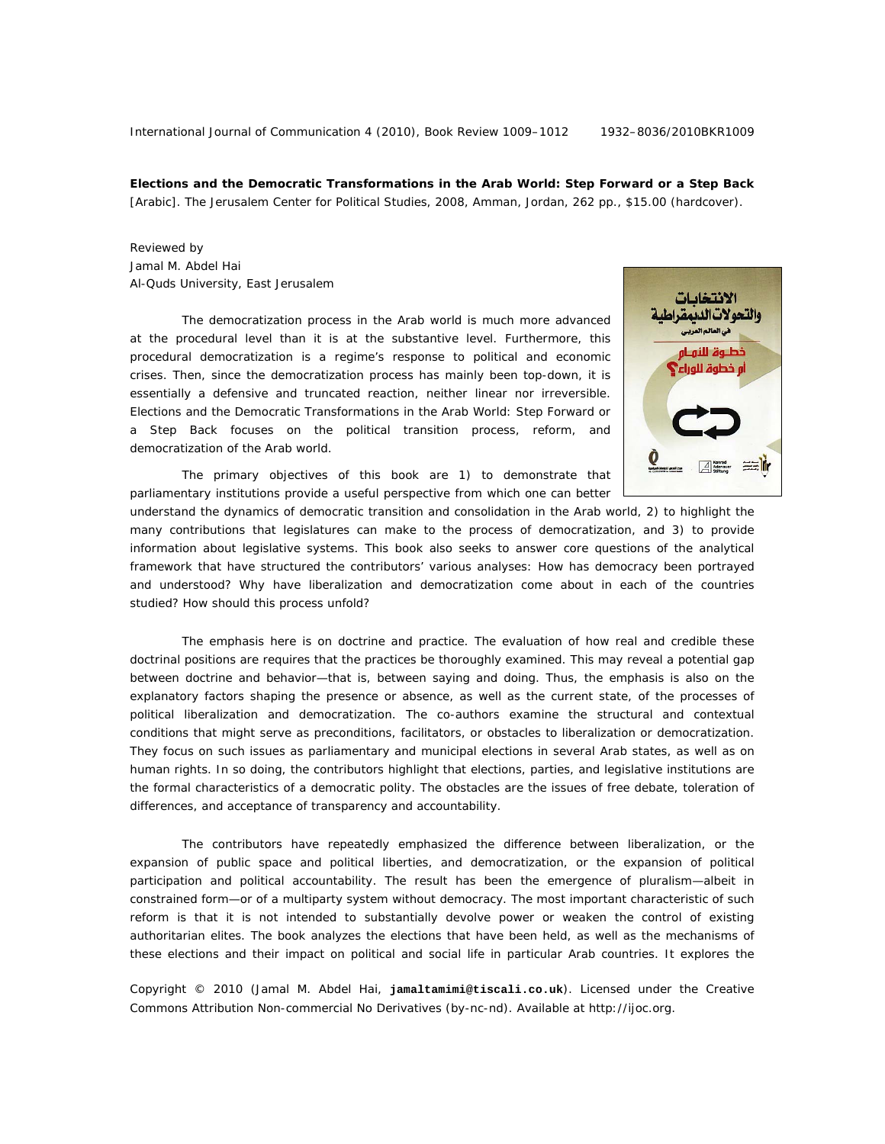International Journal of Communication 4 (2010), Book Review 1009–1012 1932–8036/2010BKR1009

**Elections and the Democratic Transformations in the Arab World: Step Forward or a Step Back**  [Arabic]. The Jerusalem Center for Political Studies, 2008, Amman, Jordan, 262 pp., \$15.00 (hardcover).

Reviewed by Jamal M. Abdel Hai Al-Quds University, East Jerusalem

The democratization process in the Arab world is much more advanced at the procedural level than it is at the substantive level. Furthermore, this procedural democratization is a regime's response to political and economic crises. Then, since the democratization process has mainly been top-down, it is essentially a defensive and truncated reaction, neither linear nor irreversible. *Elections and the Democratic Transformations in the Arab World: Step Forward or a Step Back* focuses on the political transition process, reform, and democratization of the Arab world.



The primary objectives of this book are 1) to demonstrate that parliamentary institutions provide a useful perspective from which one can better

understand the dynamics of democratic transition and consolidation in the Arab world, 2) to highlight the many contributions that legislatures can make to the process of democratization, and 3) to provide information about legislative systems. This book also seeks to answer core questions of the analytical framework that have structured the contributors' various analyses: How has democracy been portrayed and understood? Why have liberalization and democratization come about in each of the countries studied? How should this process unfold?

The emphasis here is on doctrine and practice. The evaluation of how real and credible these doctrinal positions are requires that the practices be thoroughly examined. This may reveal a potential gap between doctrine and behavior—that is, between *saying* and *doing*. Thus, the emphasis is also on the explanatory factors shaping the presence or absence, as well as the current state, of the processes of political liberalization and democratization. The co-authors examine the structural and contextual conditions that might serve as preconditions, facilitators, or obstacles to liberalization or democratization. They focus on such issues as parliamentary and municipal elections in several Arab states, as well as on human rights. In so doing, the contributors highlight that elections, parties, and legislative institutions are the formal characteristics of a democratic polity. The obstacles are the issues of free debate, toleration of differences, and acceptance of transparency and accountability.

The contributors have repeatedly emphasized the difference between liberalization, or the expansion of public space and political liberties, and democratization, or the expansion of political participation and political accountability. The result has been the emergence of pluralism—albeit in constrained form—or of a multiparty system without democracy. The most important characteristic of such reform is that it is not intended to substantially devolve power or weaken the control of existing authoritarian elites. The book analyzes the elections that have been held, as well as the mechanisms of these elections and their impact on political and social life in particular Arab countries. It explores the

Copyright © 2010 (Jamal M. Abdel Hai, **jamaltamimi@tiscali.co.uk**). Licensed under the Creative Commons Attribution Non-commercial No Derivatives (by-nc-nd). Available at http://ijoc.org.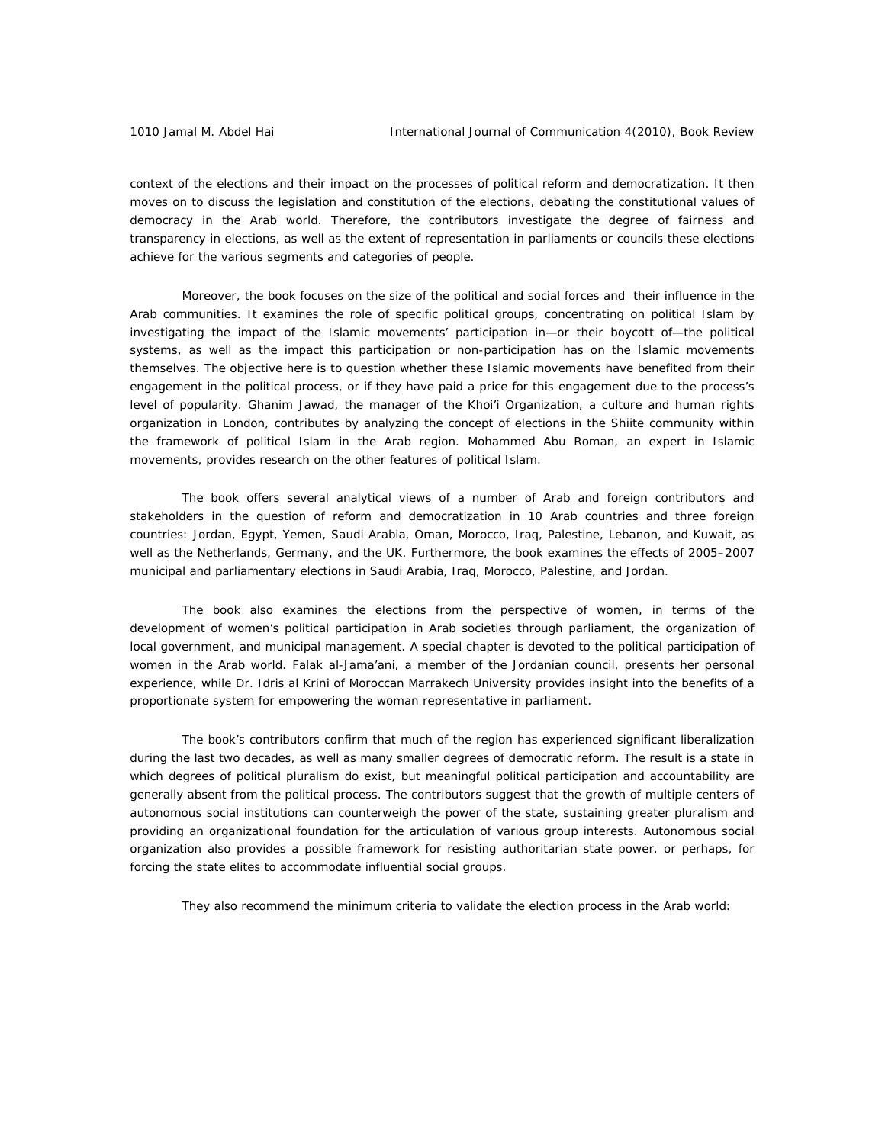context of the elections and their impact on the processes of political reform and democratization. It then moves on to discuss the legislation and constitution of the elections, debating the constitutional values of democracy in the Arab world. Therefore, the contributors investigate the degree of fairness and transparency in elections, as well as the extent of representation in parliaments or councils these elections achieve for the various segments and categories of people.

 Moreover, the book focuses on the size of the political and social forces and their influence in the Arab communities. It examines the role of specific political groups, concentrating on political Islam by investigating the impact of the Islamic movements' participation in—or their boycott of—the political systems, as well as the impact this participation or non-participation has on the Islamic movements themselves. The objective here is to question whether these Islamic movements have benefited from their engagement in the political process, or if they have paid a price for this engagement due to the process's level of popularity. Ghanim Jawad, the manager of the Khoi'i Organization, a culture and human rights organization in London, contributes by analyzing the concept of elections in the Shiite community within the framework of political Islam in the Arab region. Mohammed Abu Roman, an expert in Islamic movements, provides research on the other features of political Islam.

The book offers several analytical views of a number of Arab and foreign contributors and stakeholders in the question of reform and democratization in 10 Arab countries and three foreign countries: Jordan, Egypt, Yemen, Saudi Arabia, Oman, Morocco, Iraq, Palestine, Lebanon, and Kuwait, as well as the Netherlands, Germany, and the UK. Furthermore, the book examines the effects of 2005–2007 municipal and parliamentary elections in Saudi Arabia, Iraq, Morocco, Palestine, and Jordan.

The book also examines the elections from the perspective of women, in terms of the development of women's political participation in Arab societies through parliament, the organization of local government, and municipal management. A special chapter is devoted to the political participation of women in the Arab world. Falak al-Jama'ani, a member of the Jordanian council, presents her personal experience, while Dr. Idris al Krini of Moroccan Marrakech University provides insight into the benefits of a proportionate system for empowering the woman representative in parliament.

The book's contributors confirm that much of the region has experienced significant liberalization during the last two decades, as well as many smaller degrees of democratic reform. The result is a state in which degrees of political pluralism do exist, but meaningful political participation and accountability are generally absent from the political process. The contributors suggest that the growth of multiple centers of autonomous social institutions can counterweigh the power of the state, sustaining greater pluralism and providing an organizational foundation for the articulation of various group interests. Autonomous social organization also provides a possible framework for resisting authoritarian state power, or perhaps, for forcing the state elites to accommodate influential social groups.

They also recommend the minimum criteria to validate the election process in the Arab world: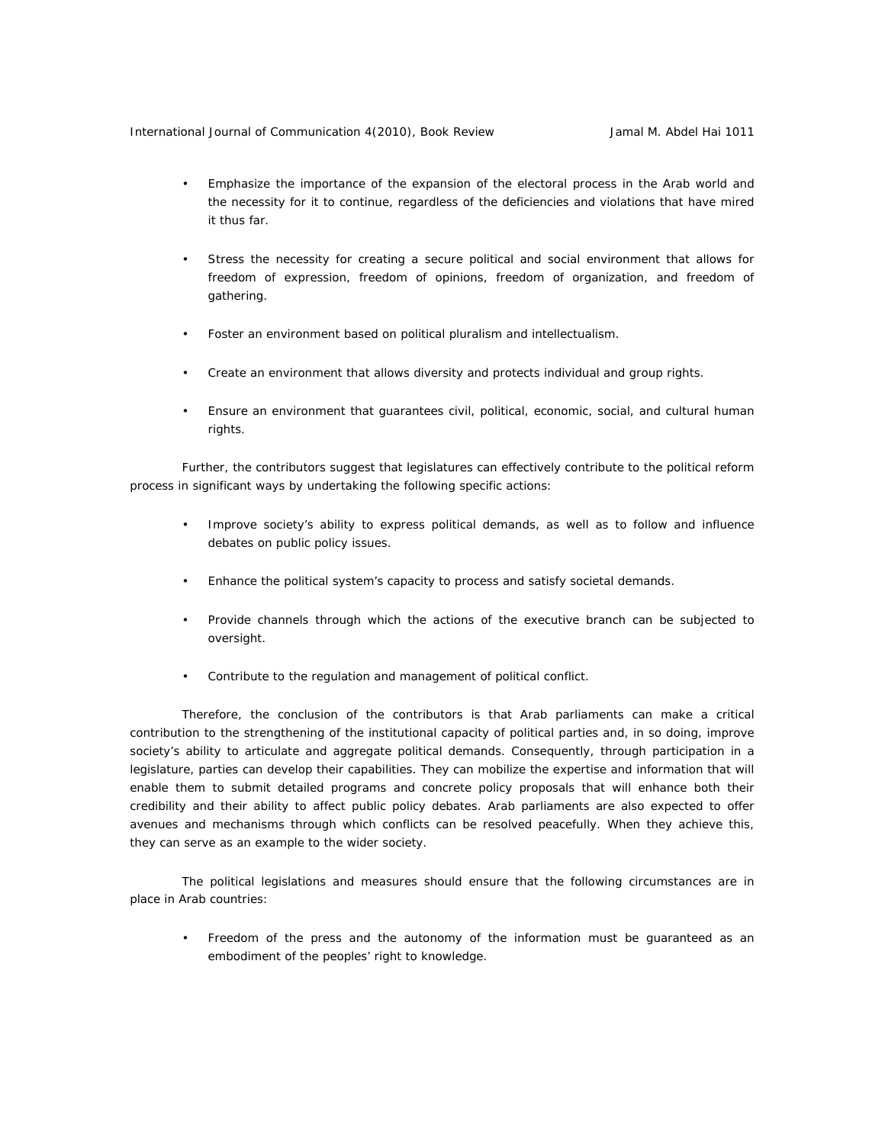- Emphasize the importance of the expansion of the electoral process in the Arab world and the necessity for it to continue, regardless of the deficiencies and violations that have mired it thus far.
- Stress the necessity for creating a secure political and social environment that allows for freedom of expression, freedom of opinions, freedom of organization, and freedom of gathering.
- Foster an environment based on political pluralism and intellectualism.
- Create an environment that allows diversity and protects individual and group rights.
- Ensure an environment that guarantees civil, political, economic, social, and cultural human rights.

Further, the contributors suggest that legislatures can effectively contribute to the political reform process in significant ways by undertaking the following specific actions:

- Improve society's ability to express political demands, as well as to follow and influence debates on public policy issues.
- Enhance the political system's capacity to process and satisfy societal demands.
- Provide channels through which the actions of the executive branch can be subjected to oversight.
- Contribute to the regulation and management of political conflict.

Therefore, the conclusion of the contributors is that Arab parliaments can make a critical contribution to the strengthening of the institutional capacity of political parties and, in so doing, improve society's ability to articulate and aggregate political demands. Consequently, through participation in a legislature, parties can develop their capabilities. They can mobilize the expertise and information that will enable them to submit detailed programs and concrete policy proposals that will enhance both their credibility and their ability to affect public policy debates. Arab parliaments are also expected to offer avenues and mechanisms through which conflicts can be resolved peacefully. When they achieve this, they can serve as an example to the wider society.

The political legislations and measures should ensure that the following circumstances are in place in Arab countries:

• Freedom of the press and the autonomy of the information must be guaranteed as an embodiment of the peoples' right to knowledge.